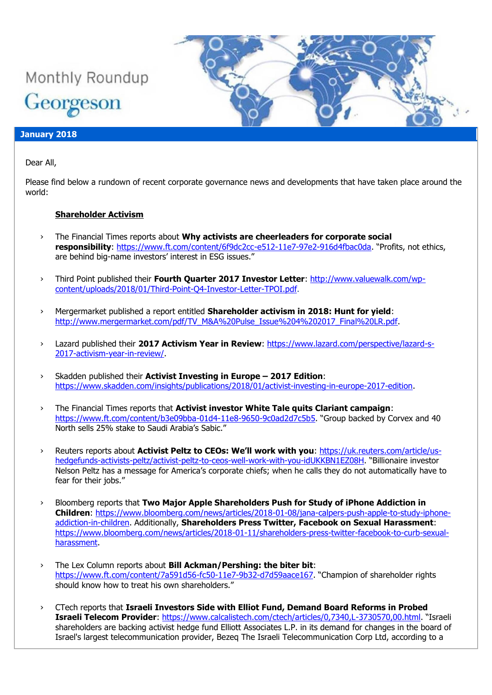

### **January 2018**

Dear All,

Please find below a rundown of recent corporate governance news and developments that have taken place around the world:

#### **Shareholder Activism**

- › The Financial Times reports about **Why activists are cheerleaders for corporate social responsibility**:<https://www.ft.com/content/6f9dc2cc-e512-11e7-97e2-916d4fbac0da>. "Profits, not ethics, are behind big-name investors' interest in ESG issues."
- › Third Point published their **Fourth Quarter 2017 Investor Letter**: [http://www.valuewalk.com/wp](http://www.valuewalk.com/wp-content/uploads/2018/01/Third-Point-Q4-Investor-Letter-TPOI.pdf)[content/uploads/2018/01/Third-Point-Q4-Investor-Letter-TPOI.pdf.](http://www.valuewalk.com/wp-content/uploads/2018/01/Third-Point-Q4-Investor-Letter-TPOI.pdf)
- › Mergermarket published a report entitled **Shareholder activism in 2018: Hunt for yield**: [http://www.mergermarket.com/pdf/TV\\_M&A%20Pulse\\_Issue%204%202017\\_Final%20LR.pdf.](http://www.mergermarket.com/pdf/TV_M&A%20Pulse_Issue%204%202017_Final%20LR.pdf)
- › Lazard published their **2017 Activism Year in Review**: [https://www.lazard.com/perspective/lazard-s-](https://www.lazard.com/perspective/lazard-s-2017-activism-year-in-review/)[2017-activism-year-in-review/.](https://www.lazard.com/perspective/lazard-s-2017-activism-year-in-review/)
- › Skadden published their **Activist Investing in Europe – 2017 Edition**: [https://www.skadden.com/insights/publications/2018/01/activist-investing-in-europe-2017-edition.](https://www.skadden.com/insights/publications/2018/01/activist-investing-in-europe-2017-edition)
- › The Financial Times reports that **Activist investor White Tale quits Clariant campaign**: <https://www.ft.com/content/b3e09bba-01d4-11e8-9650-9c0ad2d7c5b5>. "Group backed by Corvex and 40 North sells 25% stake to Saudi Arabia's Sabic."
- › Reuters reports about **Activist Peltz to CEOs: We'll work with you**: [https://uk.reuters.com/article/us](https://uk.reuters.com/article/us-hedgefunds-activists-peltz/activist-peltz-to-ceos-well-work-with-you-idUKKBN1EZ08H)[hedgefunds-activists-peltz/activist-peltz-to-ceos-well-work-with-you-idUKKBN1EZ08H](https://uk.reuters.com/article/us-hedgefunds-activists-peltz/activist-peltz-to-ceos-well-work-with-you-idUKKBN1EZ08H). "Billionaire investor Nelson Peltz has a message for America's corporate chiefs; when he calls they do not automatically have to fear for their jobs."
- › Bloomberg reports that **Two Major Apple Shareholders Push for Study of iPhone Addiction in Children**: [https://www.bloomberg.com/news/articles/2018-01-08/jana-calpers-push-apple-to-study-iphone](https://www.bloomberg.com/news/articles/2018-01-08/jana-calpers-push-apple-to-study-iphone-addiction-in-children)[addiction-in-children.](https://www.bloomberg.com/news/articles/2018-01-08/jana-calpers-push-apple-to-study-iphone-addiction-in-children) Additionally, **Shareholders Press Twitter, Facebook on Sexual Harassment**: [https://www.bloomberg.com/news/articles/2018-01-11/shareholders-press-twitter-facebook-to-curb-sexual](https://www.bloomberg.com/news/articles/2018-01-11/shareholders-press-twitter-facebook-to-curb-sexual-harassment)[harassment.](https://www.bloomberg.com/news/articles/2018-01-11/shareholders-press-twitter-facebook-to-curb-sexual-harassment)
- › The Lex Column reports about **Bill Ackman/Pershing: the biter bit**: <https://www.ft.com/content/7a591d56-fc50-11e7-9b32-d7d59aace167>. "Champion of shareholder rights should know how to treat his own shareholders."
- › CTech reports that **Israeli Investors Side with Elliot Fund, Demand Board Reforms in Probed Israeli Telecom Provider**:<https://www.calcalistech.com/ctech/articles/0,7340,L-3730570,00.html>. "Israeli shareholders are backing activist hedge fund Elliott Associates L.P. in its demand for changes in the board of Israel's largest telecommunication provider, Bezeq The Israeli Telecommunication Corp Ltd, according to a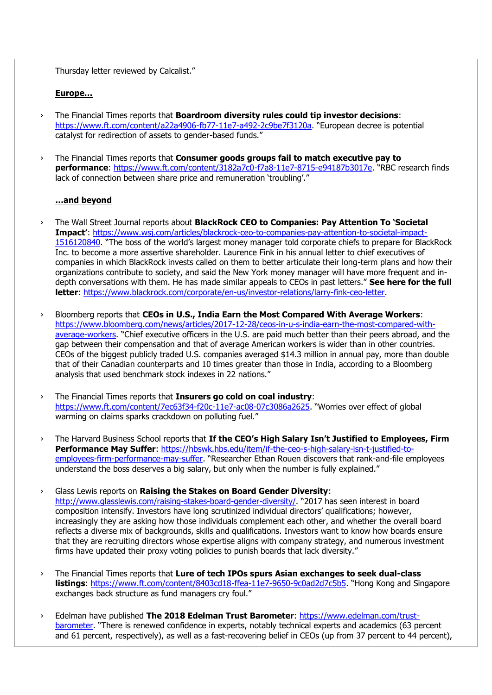Thursday letter reviewed by Calcalist."

## **Europe…**

- › The Financial Times reports that **Boardroom diversity rules could tip investor decisions**: <https://www.ft.com/content/a22a4906-fb77-11e7-a492-2c9be7f3120a>. "European decree is potential catalyst for redirection of assets to gender-based funds."
- › The Financial Times reports that **Consumer goods groups fail to match executive pay to performance**:<https://www.ft.com/content/3182a7c0-f7a8-11e7-8715-e94187b3017e>. "RBC research finds lack of connection between share price and remuneration 'troubling'."

## **…and beyond**

- › The Wall Street Journal reports about **BlackRock CEO to Companies: Pay Attention To 'Societal Impact'**: [https://www.wsj.com/articles/blackrock-ceo-to-companies-pay-attention-to-societal-impact-](https://www.wsj.com/articles/blackrock-ceo-to-companies-pay-attention-to-societal-impact-1516120840)[1516120840](https://www.wsj.com/articles/blackrock-ceo-to-companies-pay-attention-to-societal-impact-1516120840). "The boss of the world's largest money manager told corporate chiefs to prepare for BlackRock Inc. to become a more assertive shareholder. Laurence Fink in his annual letter to chief executives of companies in which BlackRock invests called on them to better articulate their long-term plans and how their organizations contribute to society, and said the New York money manager will have more frequent and indepth conversations with them. He has made similar appeals to CEOs in past letters." **See here for the full letter**: [https://www.blackrock.com/corporate/en-us/investor-relations/larry-fink-ceo-letter.](https://www.blackrock.com/corporate/en-us/investor-relations/larry-fink-ceo-letter)
- › Bloomberg reports that **CEOs in U.S., India Earn the Most Compared With Average Workers**: [https://www.bloomberg.com/news/articles/2017-12-28/ceos-in-u-s-india-earn-the-most-compared-with](https://www.bloomberg.com/news/articles/2017-12-28/ceos-in-u-s-india-earn-the-most-compared-with-average-workers)[average-workers](https://www.bloomberg.com/news/articles/2017-12-28/ceos-in-u-s-india-earn-the-most-compared-with-average-workers). "Chief executive officers in the U.S. are paid much better than their peers abroad, and the gap between their compensation and that of average American workers is wider than in other countries. CEOs of the biggest publicly traded U.S. companies averaged \$14.3 million in annual pay, more than double that of their Canadian counterparts and 10 times greater than those in India, according to a Bloomberg analysis that used benchmark stock indexes in 22 nations."
- › The Financial Times reports that **Insurers go cold on coal industry**: <https://www.ft.com/content/7ec63f34-f20c-11e7-ac08-07c3086a2625>. "Worries over effect of global warming on claims sparks crackdown on polluting fuel."
- › The Harvard Business School reports that **If the CEO's High Salary Isn't Justified to Employees, Firm Performance May Suffer**: [https://hbswk.hbs.edu/item/if-the-ceo-s-high-salary-isn-t-justified-to](https://hbswk.hbs.edu/item/if-the-ceo-s-high-salary-isn-t-justified-to-employees-firm-performance-may-suffer)[employees-firm-performance-may-suffer](https://hbswk.hbs.edu/item/if-the-ceo-s-high-salary-isn-t-justified-to-employees-firm-performance-may-suffer). "Researcher Ethan Rouen discovers that rank-and-file employees understand the boss deserves a big salary, but only when the number is fully explained."
- › Glass Lewis reports on **Raising the Stakes on Board Gender Diversity**: <http://www.glasslewis.com/raising-stakes-board-gender-diversity/>. "2017 has seen interest in board composition intensify. Investors have long scrutinized individual directors' qualifications; however, increasingly they are asking how those individuals complement each other, and whether the overall board reflects a diverse mix of backgrounds, skills and qualifications. Investors want to know how boards ensure that they are recruiting directors whose expertise aligns with company strategy, and numerous investment firms have updated their proxy voting policies to punish boards that lack diversity."
- › The Financial Times reports that **Lure of tech IPOs spurs Asian exchanges to seek dual-class listings**:<https://www.ft.com/content/8403cd18-ffea-11e7-9650-9c0ad2d7c5b5>. "Hong Kong and Singapore exchanges back structure as fund managers cry foul."
- › Edelman have published **The 2018 Edelman Trust Barometer**: [https://www.edelman.com/trust](https://www.edelman.com/trust-barometer)[barometer](https://www.edelman.com/trust-barometer). "There is renewed confidence in experts, notably technical experts and academics (63 percent and 61 percent, respectively), as well as a fast-recovering belief in CEOs (up from 37 percent to 44 percent),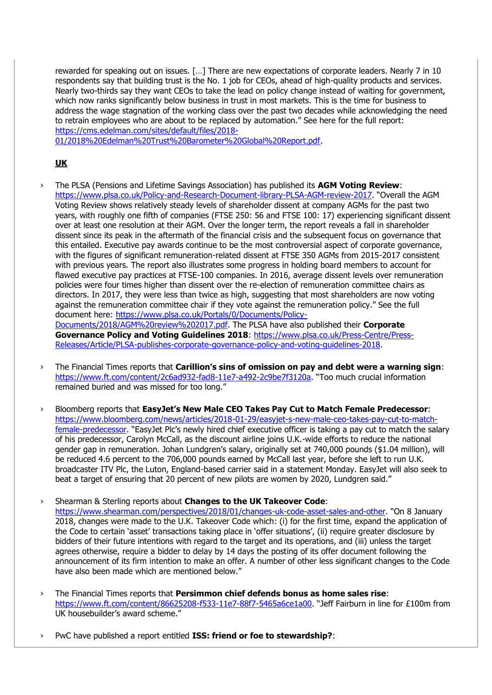rewarded for speaking out on issues. […] There are new expectations of corporate leaders. Nearly 7 in 10 respondents say that building trust is the No. 1 job for CEOs, ahead of high-quality products and services. Nearly two-thirds say they want CEOs to take the lead on policy change instead of waiting for government, which now ranks significantly below business in trust in most markets. This is the time for business to address the wage stagnation of the working class over the past two decades while acknowledging the need to retrain employees who are about to be replaced by automation." See here for the full report: [https://cms.edelman.com/sites/default/files/2018-](https://cms.edelman.com/sites/default/files/2018-01/2018%20Edelman%20Trust%20Barometer%20Global%20Report.pdf)

[01/2018%20Edelman%20Trust%20Barometer%20Global%20Report.pdf.](https://cms.edelman.com/sites/default/files/2018-01/2018%20Edelman%20Trust%20Barometer%20Global%20Report.pdf)

# **UK**

› The PLSA (Pensions and Lifetime Savings Association) has published its **AGM Voting Review**: <https://www.plsa.co.uk/Policy-and-Research-Document-library-PLSA-AGM-review-2017>. "Overall the AGM Voting Review shows relatively steady levels of shareholder dissent at company AGMs for the past two years, with roughly one fifth of companies (FTSE 250: 56 and FTSE 100: 17) experiencing significant dissent over at least one resolution at their AGM. Over the longer term, the report reveals a fall in shareholder dissent since its peak in the aftermath of the financial crisis and the subsequent focus on governance that this entailed. Executive pay awards continue to be the most controversial aspect of corporate governance, with the figures of significant remuneration-related dissent at FTSE 350 AGMs from 2015-2017 consistent with previous years. The report also illustrates some progress in holding board members to account for flawed executive pay practices at FTSE-100 companies. In 2016, average dissent levels over remuneration policies were four times higher than dissent over the re-election of remuneration committee chairs as directors. In 2017, they were less than twice as high, suggesting that most shareholders are now voting against the remuneration committee chair if they vote against the remuneration policy." See the full document here: [https://www.plsa.co.uk/Portals/0/Documents/Policy-](https://www.plsa.co.uk/Portals/0/Documents/Policy-Documents/2018/AGM%20review%202017.pdf)[Documents/2018/AGM%20review%202017.pdf.](https://www.plsa.co.uk/Portals/0/Documents/Policy-Documents/2018/AGM%20review%202017.pdf) The PLSA have also published their **Corporate** 

Governance Policy and Voting Guidelines 2018: [https://www.plsa.co.uk/Press-Centre/Press-](https://www.plsa.co.uk/Press-Centre/Press-Releases/Article/PLSA-publishes-corporate-governance-policy-and-voting-guidelines-2018)[Releases/Article/PLSA-publishes-corporate-governance-policy-and-voting-guidelines-2018.](https://www.plsa.co.uk/Press-Centre/Press-Releases/Article/PLSA-publishes-corporate-governance-policy-and-voting-guidelines-2018)

- › The Financial Times reports that **Carillion's sins of omission on pay and debt were a warning sign**: <https://www.ft.com/content/2c6ad932-fad8-11e7-a492-2c9be7f3120a>. "Too much crucial information remained buried and was missed for too long."
- › Bloomberg reports that **EasyJet's New Male CEO Takes Pay Cut to Match Female Predecessor**: [https://www.bloomberg.com/news/articles/2018-01-29/easyjet-s-new-male-ceo-takes-pay-cut-to-match](https://www.bloomberg.com/news/articles/2018-01-29/easyjet-s-new-male-ceo-takes-pay-cut-to-match-female-predecessor)[female-predecessor](https://www.bloomberg.com/news/articles/2018-01-29/easyjet-s-new-male-ceo-takes-pay-cut-to-match-female-predecessor). "EasyJet Plc's newly hired chief executive officer is taking a pay cut to match the salary of his predecessor, Carolyn McCall, as the discount airline joins U.K.-wide efforts to reduce the national gender gap in remuneration. Johan Lundgren's salary, originally set at 740,000 pounds (\$1.04 million), will be reduced 4.6 percent to the 706,000 pounds earned by McCall last year, before she left to run U.K. broadcaster ITV Plc, the Luton, England-based carrier said in a statement Monday. EasyJet will also seek to beat a target of ensuring that 20 percent of new pilots are women by 2020, Lundgren said."

› Shearman & Sterling reports about **Changes to the UK Takeover Code**: <https://www.shearman.com/perspectives/2018/01/changes-uk-code-asset-sales-and-other>. "On 8 January 2018, changes were made to the U.K. Takeover Code which: (i) for the first time, expand the application of the Code to certain 'asset' transactions taking place in 'offer situations', (ii) require greater disclosure by bidders of their future intentions with regard to the target and its operations, and (iii) unless the target agrees otherwise, require a bidder to delay by 14 days the posting of its offer document following the announcement of its firm intention to make an offer. A number of other less significant changes to the Code have also been made which are mentioned below."

- › The Financial Times reports that **Persimmon chief defends bonus as home sales rise**: <https://www.ft.com/content/86625208-f533-11e7-88f7-5465a6ce1a00>. "Jeff Fairburn in line for £100m from UK housebuilder's award scheme."
- › PwC have published a report entitled **ISS: friend or foe to stewardship?**: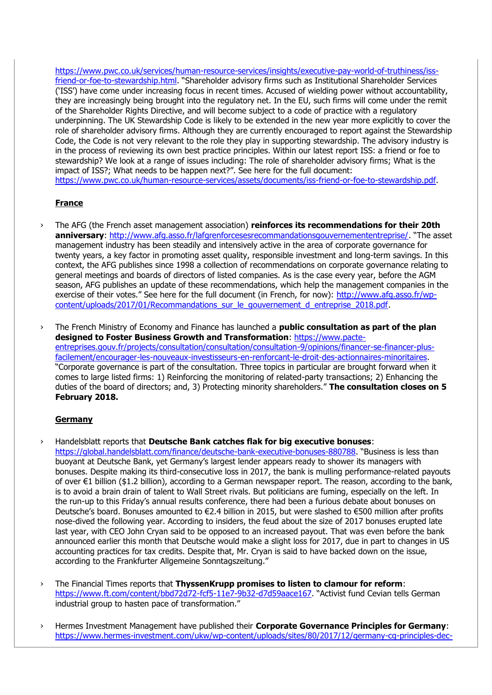[https://www.pwc.co.uk/services/human-resource-services/insights/executive-pay-world-of-truthiness/iss](https://www.pwc.co.uk/services/human-resource-services/insights/executive-pay-world-of-truthiness/iss-friend-or-foe-to-stewardship.html)[friend-or-foe-to-stewardship.html](https://www.pwc.co.uk/services/human-resource-services/insights/executive-pay-world-of-truthiness/iss-friend-or-foe-to-stewardship.html). "Shareholder advisory firms such as Institutional Shareholder Services ('ISS') have come under increasing focus in recent times. Accused of wielding power without accountability, they are increasingly being brought into the regulatory net. In the EU, such firms will come under the remit of the Shareholder Rights Directive, and will become subject to a code of practice with a regulatory underpinning. The UK Stewardship Code is likely to be extended in the new year more explicitly to cover the role of shareholder advisory firms. Although they are currently encouraged to report against the Stewardship Code, the Code is not very relevant to the role they play in supporting stewardship. The advisory industry is in the process of reviewing its own best practice principles. Within our latest report ISS: a friend or foe to stewardship? We look at a range of issues including: The role of shareholder advisory firms; What is the impact of ISS?; What needs to be happen next?". See here for the full document: [https://www.pwc.co.uk/human-resource-services/assets/documents/iss-friend-or-foe-to-stewardship.pdf.](https://www.pwc.co.uk/human-resource-services/assets/documents/iss-friend-or-foe-to-stewardship.pdf)

#### **France**

› The AFG (the French asset management association) **reinforces its recommendations for their 20th anniversary**:<http://www.afg.asso.fr/lafgrenforcesesrecommandationsgouvernemententreprise/>. "The asset management industry has been steadily and intensively active in the area of corporate governance for twenty years, a key factor in promoting asset quality, responsible investment and long-term savings. In this context, the AFG publishes since 1998 a collection of recommendations on corporate governance relating to general meetings and boards of directors of listed companies. As is the case every year, before the AGM season, AFG publishes an update of these recommendations, which help the management companies in the exercise of their votes." See here for the full document (in French, for now): [http://www.afg.asso.fr/wp](http://www.afg.asso.fr/wp-content/uploads/2017/01/Recommandations_sur_le_gouvernement_d_entreprise_2018.pdf)[content/uploads/2017/01/Recommandations\\_sur\\_le\\_gouvernement\\_d\\_entreprise\\_2018.pdf.](http://www.afg.asso.fr/wp-content/uploads/2017/01/Recommandations_sur_le_gouvernement_d_entreprise_2018.pdf)

› The French Ministry of Economy and Finance has launched a **public consultation as part of the plan**  designed to Foster Business Growth and Transformation: [https://www.pacte](https://www.pacte-entreprises.gouv.fr/projects/consultation/consultation/consultation-9/opinions/financer-se-financer-plus-facilement/encourager-les-nouveaux-investisseurs-en-renforcant-le-droit-des-actionnaires-minoritaires)[entreprises.gouv.fr/projects/consultation/consultation/consultation-9/opinions/financer-se-financer-plus](https://www.pacte-entreprises.gouv.fr/projects/consultation/consultation/consultation-9/opinions/financer-se-financer-plus-facilement/encourager-les-nouveaux-investisseurs-en-renforcant-le-droit-des-actionnaires-minoritaires)[facilement/encourager-les-nouveaux-investisseurs-en-renforcant-le-droit-des-actionnaires-minoritaires.](https://www.pacte-entreprises.gouv.fr/projects/consultation/consultation/consultation-9/opinions/financer-se-financer-plus-facilement/encourager-les-nouveaux-investisseurs-en-renforcant-le-droit-des-actionnaires-minoritaires) "Corporate governance is part of the consultation. Three topics in particular are brought forward when it comes to large listed firms: 1) Reinforcing the monitoring of related-party transactions; 2) Enhancing the duties of the board of directors; and, 3) Protecting minority shareholders." **The consultation closes on 5 February 2018.**

#### **Germany**

› Handelsblatt reports that **Deutsche Bank catches flak for big executive bonuses**: <https://global.handelsblatt.com/finance/deutsche-bank-executive-bonuses-880788>. "Business is less than buoyant at Deutsche Bank, yet Germany's largest lender appears ready to shower its managers with bonuses. Despite making its third-consecutive loss in 2017, the bank is mulling performance-related payouts of over €1 billion (\$1.2 billion), according to a German newspaper report. The reason, according to the bank, is to avoid a brain drain of talent to Wall Street rivals. But politicians are fuming, especially on the left. In the run-up to this Friday's annual results conference, there had been a furious debate about bonuses on Deutsche's board. Bonuses amounted to €2.4 billion in 2015, but were slashed to €500 million after profits nose-dived the following year. According to insiders, the feud about the size of 2017 bonuses erupted late last year, with CEO John Cryan said to be opposed to an increased payout. That was even before the bank announced earlier this month that Deutsche would make a slight loss for 2017, due in part to changes in US accounting practices for tax credits. Despite that, Mr. Cryan is said to have backed down on the issue, according to the Frankfurter Allgemeine Sonntagszeitung."

› The Financial Times reports that **ThyssenKrupp promises to listen to clamour for reform**: <https://www.ft.com/content/bbd72d72-fcf5-11e7-9b32-d7d59aace167>. "Activist fund Cevian tells German industrial group to hasten pace of transformation."

› Hermes Investment Management have published their **Corporate Governance Principles for Germany**: [https://www.hermes-investment.com/ukw/wp-content/uploads/sites/80/2017/12/germany-cg-principles-dec-](https://www.hermes-investment.com/ukw/wp-content/uploads/sites/80/2017/12/germany-cg-principles-dec-2017.pdf)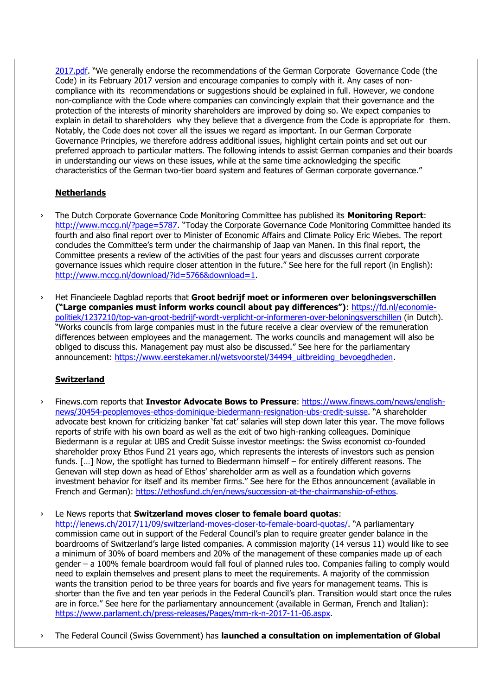[2017.pdf](https://www.hermes-investment.com/ukw/wp-content/uploads/sites/80/2017/12/germany-cg-principles-dec-2017.pdf). "We generally endorse the recommendations of the German Corporate Governance Code (the Code) in its February 2017 version and encourage companies to comply with it. Any cases of noncompliance with its recommendations or suggestions should be explained in full. However, we condone non-compliance with the Code where companies can convincingly explain that their governance and the protection of the interests of minority shareholders are improved by doing so. We expect companies to explain in detail to shareholders why they believe that a divergence from the Code is appropriate for them. Notably, the Code does not cover all the issues we regard as important. In our German Corporate Governance Principles, we therefore address additional issues, highlight certain points and set out our preferred approach to particular matters. The following intends to assist German companies and their boards in understanding our views on these issues, while at the same time acknowledging the specific characteristics of the German two-tier board system and features of German corporate governance."

## **Netherlands**

- › The Dutch Corporate Governance Code Monitoring Committee has published its **Monitoring Report**: <http://www.mccg.nl/?page=5787>. "Today the Corporate Governance Code Monitoring Committee handed its fourth and also final report over to Minister of Economic Affairs and Climate Policy Eric Wiebes. The report concludes the Committee's term under the chairmanship of Jaap van Manen. In this final report, the Committee presents a review of the activities of the past four years and discusses current corporate governance issues which require closer attention in the future." See here for the full report (in English): [http://www.mccg.nl/download/?id=5766&download=1.](http://www.mccg.nl/download/?id=5766&download=1)
- › Het Financieele Dagblad reports that **Groot bedrijf moet or informeren over beloningsverschillen ("Large companies must inform works council about pay differences")**: [https://fd.nl/economie](https://fd.nl/economie-politiek/1237210/top-van-groot-bedrijf-wordt-verplicht-or-informeren-over-beloningsverschillen)[politiek/1237210/top-van-groot-bedrijf-wordt-verplicht-or-informeren-over-beloningsverschillen](https://fd.nl/economie-politiek/1237210/top-van-groot-bedrijf-wordt-verplicht-or-informeren-over-beloningsverschillen) (in Dutch). "Works councils from large companies must in the future receive a clear overview of the remuneration differences between employees and the management. The works councils and management will also be obliged to discuss this. Management pay must also be discussed." See here for the parliamentary announcement: [https://www.eerstekamer.nl/wetsvoorstel/34494\\_uitbreiding\\_bevoegdheden.](https://www.eerstekamer.nl/wetsvoorstel/34494_uitbreiding_bevoegdheden)

## **Switzerland**

› Finews.com reports that **Investor Advocate Bows to Pressure**: [https://www.finews.com/news/english](https://www.finews.com/news/english-news/30454-peoplemoves-ethos-dominique-biedermann-resignation-ubs-credit-suisse)[news/30454-peoplemoves-ethos-dominique-biedermann-resignation-ubs-credit-suisse](https://www.finews.com/news/english-news/30454-peoplemoves-ethos-dominique-biedermann-resignation-ubs-credit-suisse). "A shareholder advocate best known for criticizing banker 'fat cat' salaries will step down later this year. The move follows reports of strife with his own board as well as the exit of two high-ranking colleagues. Dominique Biedermann is a regular at UBS and Credit Suisse investor meetings: the Swiss economist co-founded shareholder proxy Ethos Fund 21 years ago, which represents the interests of investors such as pension funds. [...] Now, the spotlight has turned to Biedermann himself – for entirely different reasons. The Genevan will step down as head of Ethos' shareholder arm as well as a foundation which governs investment behavior for itself and its member firms." See here for the Ethos announcement (available in French and German): [https://ethosfund.ch/en/news/succession-at-the-chairmanship-of-ethos.](https://ethosfund.ch/en/news/succession-at-the-chairmanship-of-ethos)

› Le News reports that **Switzerland moves closer to female board quotas**:

<http://lenews.ch/2017/11/09/switzerland-moves-closer-to-female-board-quotas/>. "A parliamentary commission came out in support of the Federal Council's plan to require greater gender balance in the boardrooms of Switzerland's large listed companies. A commission majority (14 versus 11) would like to see a minimum of 30% of board members and 20% of the management of these companies made up of each gender – a 100% female boardroom would fall foul of planned rules too. Companies failing to comply would need to explain themselves and present plans to meet the requirements. A majority of the commission wants the transition period to be three years for boards and five years for management teams. This is shorter than the five and ten year periods in the Federal Council's plan. Transition would start once the rules are in force." See here for the parliamentary announcement (available in German, French and Italian): [https://www.parlament.ch/press-releases/Pages/mm-rk-n-2017-11-06.aspx.](https://www.parlament.ch/press-releases/Pages/mm-rk-n-2017-11-06.aspx)

› The Federal Council (Swiss Government) has **launched a consultation on implementation of Global**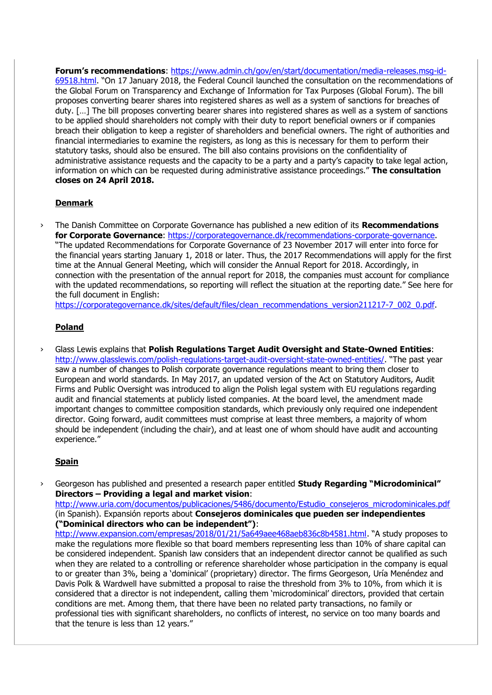**Forum's recommendations**: [https://www.admin.ch/gov/en/start/documentation/media-releases.msg-id-](https://www.admin.ch/gov/en/start/documentation/media-releases.msg-id-69518.html)[69518.html](https://www.admin.ch/gov/en/start/documentation/media-releases.msg-id-69518.html). "On 17 January 2018, the Federal Council launched the consultation on the recommendations of the Global Forum on Transparency and Exchange of Information for Tax Purposes (Global Forum). The bill proposes converting bearer shares into registered shares as well as a system of sanctions for breaches of duty. […] The bill proposes converting bearer shares into registered shares as well as a system of sanctions to be applied should shareholders not comply with their duty to report beneficial owners or if companies breach their obligation to keep a register of shareholders and beneficial owners. The right of authorities and financial intermediaries to examine the registers, as long as this is necessary for them to perform their statutory tasks, should also be ensured. The bill also contains provisions on the confidentiality of administrative assistance requests and the capacity to be a party and a party's capacity to take legal action, information on which can be requested during administrative assistance proceedings." **The consultation closes on 24 April 2018.**

## **Denmark**

› The Danish Committee on Corporate Governance has published a new edition of its **Recommendations for Corporate Governance**: [https://corporategovernance.dk/recommendations-corporate-governance.](https://corporategovernance.dk/recommendations-corporate-governance) "The updated Recommendations for Corporate Governance of 23 November 2017 will enter into force for the financial years starting January 1, 2018 or later. Thus, the 2017 Recommendations will apply for the first time at the Annual General Meeting, which will consider the Annual Report for 2018. Accordingly, in connection with the presentation of the annual report for 2018, the companies must account for compliance with the updated recommendations, so reporting will reflect the situation at the reporting date." See here for the full document in English:

[https://corporategovernance.dk/sites/default/files/clean\\_recommendations\\_version211217-7\\_002\\_0.pdf.](https://corporategovernance.dk/sites/default/files/clean_recommendations_version211217-7_002_0.pdf)

## **Poland**

› Glass Lewis explains that **Polish Regulations Target Audit Oversight and State-Owned Entities**: <http://www.glasslewis.com/polish-regulations-target-audit-oversight-state-owned-entities/>. "The past year saw a number of changes to Polish corporate governance regulations meant to bring them closer to European and world standards. In May 2017, an updated version of the Act on Statutory Auditors, Audit Firms and Public Oversight was introduced to align the Polish legal system with EU regulations regarding audit and financial statements at publicly listed companies. At the board level, the amendment made important changes to committee composition standards, which previously only required one independent director. Going forward, audit committees must comprise at least three members, a majority of whom should be independent (including the chair), and at least one of whom should have audit and accounting experience."

## **Spain**

› Georgeson has published and presented a research paper entitled **Study Regarding "Microdominical" Directors – Providing a legal and market vision**: [http://www.uria.com/documentos/publicaciones/5486/documento/Estudio\\_consejeros\\_microdominicales.pdf](http://www.uria.com/documentos/publicaciones/5486/documento/Estudio_consejeros_microdominicales.pdf)

(in Spanish). Expansión reports about **Consejeros dominicales que pueden ser independientes ("Dominical directors who can be independent")**:

<http://www.expansion.com/empresas/2018/01/21/5a649aee468aeb836c8b4581.html>. "A study proposes to make the regulations more flexible so that board members representing less than 10% of share capital can be considered independent. Spanish law considers that an independent director cannot be qualified as such when they are related to a controlling or reference shareholder whose participation in the company is equal to or greater than 3%, being a 'dominical' (proprietary) director. The firms Georgeson, Uría Menéndez and Davis Polk & Wardwell have submitted a proposal to raise the threshold from 3% to 10%, from which it is considered that a director is not independent, calling them 'microdominical' directors, provided that certain conditions are met. Among them, that there have been no related party transactions, no family or professional ties with significant shareholders, no conflicts of interest, no service on too many boards and that the tenure is less than 12 years."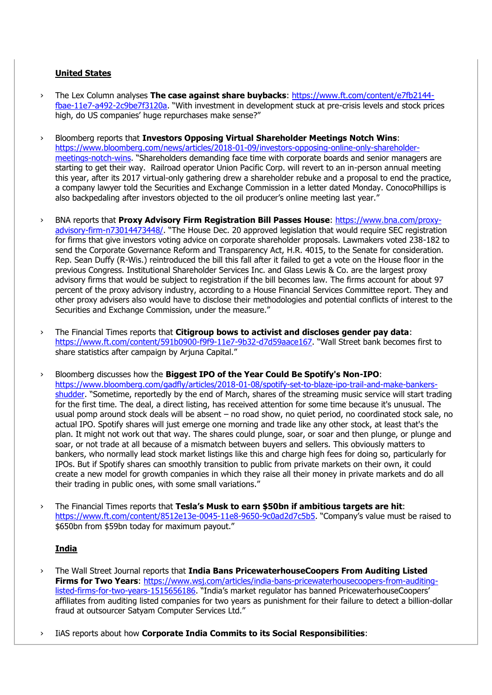### **United States**

- › The Lex Column analyses **The case against share buybacks**: [https://www.ft.com/content/e7fb2144](https://www.ft.com/content/e7fb2144-fbae-11e7-a492-2c9be7f3120a) [fbae-11e7-a492-2c9be7f3120a](https://www.ft.com/content/e7fb2144-fbae-11e7-a492-2c9be7f3120a). "With investment in development stuck at pre-crisis levels and stock prices high, do US companies' huge repurchases make sense?"
- › Bloomberg reports that **Investors Opposing Virtual Shareholder Meetings Notch Wins**: [https://www.bloomberg.com/news/articles/2018-01-09/investors-opposing-online-only-shareholder](https://www.bloomberg.com/news/articles/2018-01-09/investors-opposing-online-only-shareholder-meetings-notch-wins)[meetings-notch-wins](https://www.bloomberg.com/news/articles/2018-01-09/investors-opposing-online-only-shareholder-meetings-notch-wins). "Shareholders demanding face time with corporate boards and senior managers are starting to get their way. Railroad operator Union Pacific Corp. will revert to an in-person annual meeting this year, after its 2017 virtual-only gathering drew a shareholder rebuke and a proposal to end the practice, a company lawyer told the Securities and Exchange Commission in a letter dated Monday. ConocoPhillips is also backpedaling after investors objected to the oil producer's online meeting last year."
- › BNA reports that **Proxy Advisory Firm Registration Bill Passes House**: [https://www.bna.com/proxy](https://www.bna.com/proxy-advisory-firm-n73014473448/)[advisory-firm-n73014473448/](https://www.bna.com/proxy-advisory-firm-n73014473448/). "The House Dec. 20 approved legislation that would require SEC registration for firms that give investors voting advice on corporate shareholder proposals. Lawmakers voted 238-182 to send the Corporate Governance Reform and Transparency Act, H.R. 4015, to the Senate for consideration. Rep. Sean Duffy (R-Wis.) reintroduced the bill this fall after it failed to get a vote on the House floor in the previous Congress. Institutional Shareholder Services Inc. and Glass Lewis & Co. are the largest proxy advisory firms that would be subject to registration if the bill becomes law. The firms account for about 97 percent of the proxy advisory industry, according to a House Financial Services Committee report. They and other proxy advisers also would have to disclose their methodologies and potential conflicts of interest to the Securities and Exchange Commission, under the measure."
- › The Financial Times reports that **Citigroup bows to activist and discloses gender pay data**: <https://www.ft.com/content/591b0900-f9f9-11e7-9b32-d7d59aace167>. "Wall Street bank becomes first to share statistics after campaign by Arjuna Capital."
- › Bloomberg discusses how the **Biggest IPO of the Year Could Be Spotify's Non-IPO**: [https://www.bloomberg.com/gadfly/articles/2018-01-08/spotify-set-to-blaze-ipo-trail-and-make-bankers](https://www.bloomberg.com/gadfly/articles/2018-01-08/spotify-set-to-blaze-ipo-trail-and-make-bankers-shudder)[shudder](https://www.bloomberg.com/gadfly/articles/2018-01-08/spotify-set-to-blaze-ipo-trail-and-make-bankers-shudder). "Sometime, reportedly by the end of March, shares of the streaming music service will start trading for the first time. The deal, a direct listing, has received attention for some time because it's unusual. The usual pomp around stock deals will be absent – no road show, no quiet period, no coordinated stock sale, no actual IPO. Spotify shares will just emerge one morning and trade like any other stock, at least that's the plan. It might not work out that way. The shares could plunge, soar, or soar and then plunge, or plunge and soar, or not trade at all because of a mismatch between buyers and sellers. This obviously matters to bankers, who normally lead stock market listings like this and charge high fees for doing so, particularly for IPOs. But if Spotify shares can smoothly transition to public from private markets on their own, it could create a new model for growth companies in which they raise all their money in private markets and do all their trading in public ones, with some small variations."
- › The Financial Times reports that **Tesla's Musk to earn \$50bn if ambitious targets are hit**: <https://www.ft.com/content/8512e13e-0045-11e8-9650-9c0ad2d7c5b5>. "Company's value must be raised to \$650bn from \$59bn today for maximum payout."

## **India**

- › The Wall Street Journal reports that **India Bans PricewaterhouseCoopers From Auditing Listed Firms for Two Years**: [https://www.wsj.com/articles/india-bans-pricewaterhousecoopers-from-auditing](https://www.wsj.com/articles/india-bans-pricewaterhousecoopers-from-auditing-listed-firms-for-two-years-1515656186)[listed-firms-for-two-years-1515656186](https://www.wsj.com/articles/india-bans-pricewaterhousecoopers-from-auditing-listed-firms-for-two-years-1515656186). "India's market regulator has banned PricewaterhouseCoopers' affiliates from auditing listed companies for two years as punishment for their failure to detect a billion-dollar fraud at outsourcer Satyam Computer Services Ltd."
- › IiAS reports about how **Corporate India Commits to its Social Responsibilities**: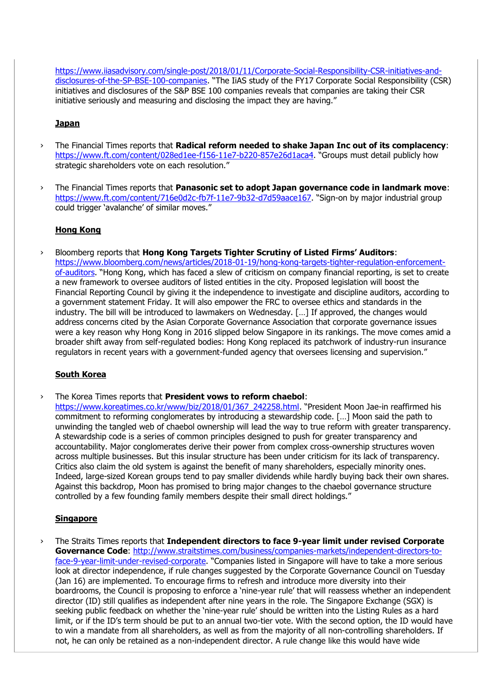[https://www.iiasadvisory.com/single-post/2018/01/11/Corporate-Social-Responsibility-CSR-initiatives-and](https://www.iiasadvisory.com/single-post/2018/01/11/Corporate-Social-Responsibility-CSR-initiatives-and-disclosures-of-the-SP-BSE-100-companies)[disclosures-of-the-SP-BSE-100-companies](https://www.iiasadvisory.com/single-post/2018/01/11/Corporate-Social-Responsibility-CSR-initiatives-and-disclosures-of-the-SP-BSE-100-companies). "The IiAS study of the FY17 Corporate Social Responsibility (CSR) initiatives and disclosures of the S&P BSE 100 companies reveals that companies are taking their CSR initiative seriously and measuring and disclosing the impact they are having."

#### **Japan**

- › The Financial Times reports that **Radical reform needed to shake Japan Inc out of its complacency**: <https://www.ft.com/content/028ed1ee-f156-11e7-b220-857e26d1aca4>. "Groups must detail publicly how strategic shareholders vote on each resolution."
- › The Financial Times reports that **Panasonic set to adopt Japan governance code in landmark move**: <https://www.ft.com/content/716e0d2c-fb7f-11e7-9b32-d7d59aace167>. "Sign-on by major industrial group could trigger 'avalanche' of similar moves."

#### **Hong Kong**

› Bloomberg reports that **Hong Kong Targets Tighter Scrutiny of Listed Firms' Auditors**: [https://www.bloomberg.com/news/articles/2018-01-19/hong-kong-targets-tighter-regulation-enforcement](https://www.bloomberg.com/news/articles/2018-01-19/hong-kong-targets-tighter-regulation-enforcement-of-auditors)[of-auditors](https://www.bloomberg.com/news/articles/2018-01-19/hong-kong-targets-tighter-regulation-enforcement-of-auditors). "Hong Kong, which has faced a slew of criticism on company financial reporting, is set to create a new framework to oversee auditors of listed entities in the city. Proposed legislation will boost the Financial Reporting Council by giving it the independence to investigate and discipline auditors, according to a government statement Friday. It will also empower the FRC to oversee ethics and standards in the industry. The bill will be introduced to lawmakers on Wednesday. […] If approved, the changes would address concerns cited by the Asian Corporate Governance Association that corporate governance issues were a key reason why Hong Kong in 2016 slipped below Singapore in its rankings. The move comes amid a broader shift away from self-regulated bodies: Hong Kong replaced its patchwork of industry-run insurance regulators in recent years with a government-funded agency that oversees licensing and supervision."

## **South Korea**

› The Korea Times reports that **President vows to reform chaebol**:

[https://www.koreatimes.co.kr/www/biz/2018/01/367\\_242258.html](https://www.koreatimes.co.kr/www/biz/2018/01/367_242258.html). "President Moon Jae-in reaffirmed his commitment to reforming conglomerates by introducing a stewardship code. […] Moon said the path to unwinding the tangled web of chaebol ownership will lead the way to true reform with greater transparency. A stewardship code is a series of common principles designed to push for greater transparency and accountability. Major conglomerates derive their power from complex cross-ownership structures woven across multiple businesses. But this insular structure has been under criticism for its lack of transparency. Critics also claim the old system is against the benefit of many shareholders, especially minority ones. Indeed, large-sized Korean groups tend to pay smaller dividends while hardly buying back their own shares. Against this backdrop, Moon has promised to bring major changes to the chaebol governance structure controlled by a few founding family members despite their small direct holdings."

#### **Singapore**

The Straits Times reports that *Independent directors to face 9-year limit under revised Corporate* **Governance Code**: [http://www.straitstimes.com/business/companies-markets/independent-directors-to](http://www.straitstimes.com/business/companies-markets/independent-directors-to-face-9-year-limit-under-revised-corporate)[face-9-year-limit-under-revised-corporate](http://www.straitstimes.com/business/companies-markets/independent-directors-to-face-9-year-limit-under-revised-corporate). "Companies listed in Singapore will have to take a more serious look at director independence, if rule changes suggested by the Corporate Governance Council on Tuesday (Jan 16) are implemented. To encourage firms to refresh and introduce more diversity into their boardrooms, the Council is proposing to enforce a 'nine-year rule' that will reassess whether an independent director (ID) still qualifies as independent after nine years in the role. The Singapore Exchange (SGX) is seeking public feedback on whether the 'nine-year rule' should be written into the Listing Rules as a hard limit, or if the ID's term should be put to an annual two-tier vote. With the second option, the ID would have to win a mandate from all shareholders, as well as from the majority of all non-controlling shareholders. If not, he can only be retained as a non-independent director. A rule change like this would have wide